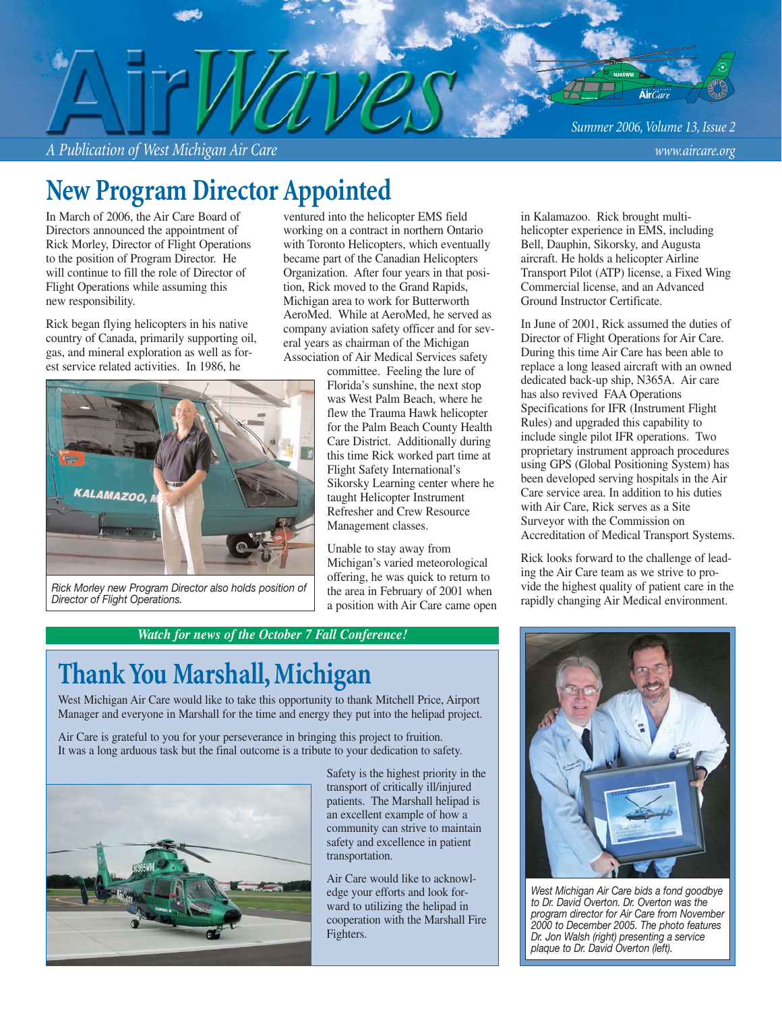*Summer 2006, Volume 13, Issue 2*

*A Publication of West Michigan Air Care www.aircare.org*

## **New Program Director Appointed**

In March of 2006, the Air Care Board of Directors announced the appointment of Rick Morley, Director of Flight Operations to the position of Program Director. He will continue to fill the role of Director of Flight Operations while assuming this new responsibility.

Rick began flying helicopters in his native country of Canada, primarily supporting oil, gas, and mineral exploration as well as forest service related activities. In 1986, he





*Rick Morley new Program Director also holds position of Director of Flight Operations.*

committee. Feeling the lure of Florida's sunshine, the next stop was West Palm Beach, where he flew the Trauma Hawk helicopter for the Palm Beach County Health Care District. Additionally during this time Rick worked part time at Flight Safety International's Sikorsky Learning center where he

taught Helicopter Instrument Refresher and Crew Resource Management classes.

Unable to stay away from Michigan's varied meteorological offering, he was quick to return to the area in February of 2001 when a position with Air Care came open

*Watch for news of the October 7 Fall Conference!*

### **Thank You Marshall, Michigan**

West Michigan Air Care would like to take this opportunity to thank Mitchell Price, Airport Manager and everyone in Marshall for the time and energy they put into the helipad project.

Air Care is grateful to you for your perseverance in bringing this project to fruition. It was a long arduous task but the final outcome is a tribute to your dedication to safety.



Safety is the highest priority in the transport of critically ill/injured patients. The Marshall helipad is an excellent example of how a community can strive to maintain safety and excellence in patient transportation.

Air Care would like to acknowledge your efforts and look forward to utilizing the helipad in cooperation with the Marshall Fire Fighters.

in Kalamazoo. Rick brought multihelicopter experience in EMS, including Bell, Dauphin, Sikorsky, and Augusta aircraft. He holds a helicopter Airline Transport Pilot (ATP) license, a Fixed Wing Commercial license, and an Advanced Ground Instructor Certificate.

In June of 2001, Rick assumed the duties of Director of Flight Operations for Air Care. During this time Air Care has been able to replace a long leased aircraft with an owned dedicated back-up ship, N365A. Air care has also revived FAA Operations Specifications for IFR (Instrument Flight Rules) and upgraded this capability to include single pilot IFR operations. Two proprietary instrument approach procedures using GPS (Global Positioning System) has been developed serving hospitals in the Air Care service area. In addition to his duties with Air Care, Rick serves as a Site Surveyor with the Commission on Accreditation of Medical Transport Systems.

Rick looks forward to the challenge of leading the Air Care team as we strive to provide the highest quality of patient care in the rapidly changing Air Medical environment.



*West Michigan Air Care bids a fond goodbye to Dr. David Overton. Dr. Overton was the program director for Air Care from November 2000 to December 2005. The photo features Dr. Jon Walsh (right) presenting a service plaque to Dr. David Overton (left).*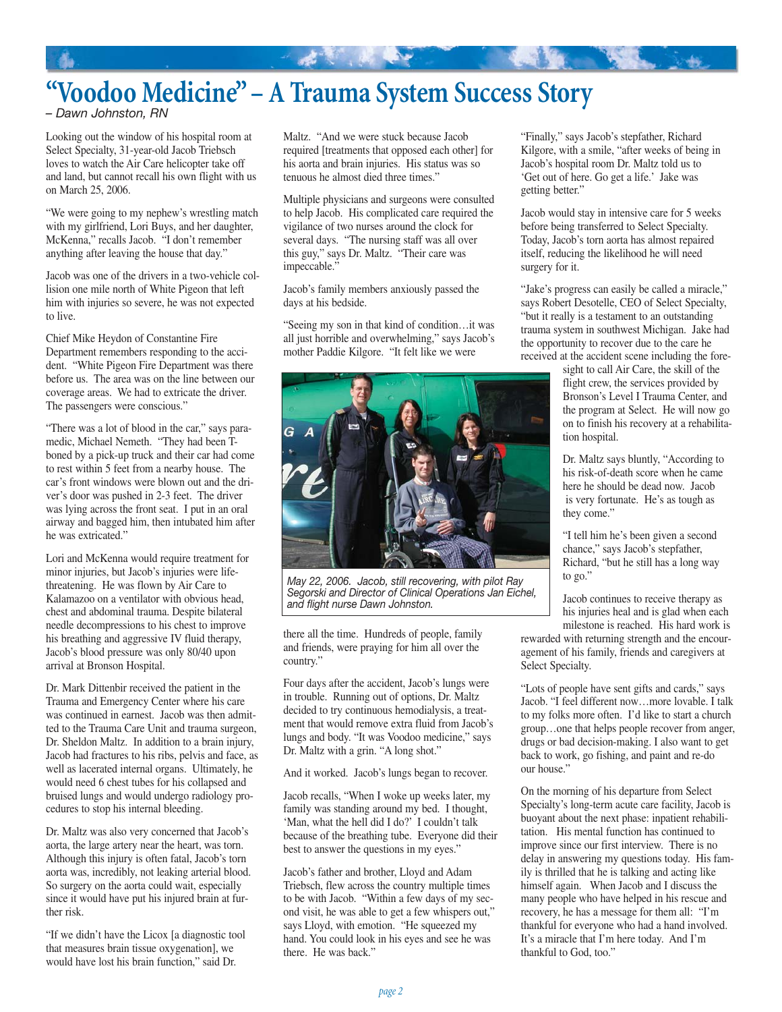# **"Voodoo Medicine" – A Trauma System Success Story**

"我们" "我们"

*– Dawn Johnston, RN*

Looking out the window of his hospital room at Select Specialty, 31-year-old Jacob Triebsch loves to watch the Air Care helicopter take off and land, but cannot recall his own flight with us on March 25, 2006.

"We were going to my nephew's wrestling match with my girlfriend, Lori Buys, and her daughter, McKenna," recalls Jacob. "I don't remember anything after leaving the house that day."

Jacob was one of the drivers in a two-vehicle collision one mile north of White Pigeon that left him with injuries so severe, he was not expected to live.

Chief Mike Heydon of Constantine Fire Department remembers responding to the accident. "White Pigeon Fire Department was there before us. The area was on the line between our coverage areas. We had to extricate the driver. The passengers were conscious."

"There was a lot of blood in the car," says paramedic, Michael Nemeth. "They had been Tboned by a pick-up truck and their car had come to rest within 5 feet from a nearby house. The car's front windows were blown out and the driver's door was pushed in 2-3 feet. The driver was lying across the front seat. I put in an oral airway and bagged him, then intubated him after he was extricated."

Lori and McKenna would require treatment for minor injuries, but Jacob's injuries were lifethreatening. He was flown by Air Care to Kalamazoo on a ventilator with obvious head, chest and abdominal trauma. Despite bilateral needle decompressions to his chest to improve his breathing and aggressive IV fluid therapy, Jacob's blood pressure was only 80/40 upon arrival at Bronson Hospital.

Dr. Mark Dittenbir received the patient in the Trauma and Emergency Center where his care was continued in earnest. Jacob was then admitted to the Trauma Care Unit and trauma surgeon, Dr. Sheldon Maltz. In addition to a brain injury, Jacob had fractures to his ribs, pelvis and face, as well as lacerated internal organs. Ultimately, he would need 6 chest tubes for his collapsed and bruised lungs and would undergo radiology procedures to stop his internal bleeding.

Dr. Maltz was also very concerned that Jacob's aorta, the large artery near the heart, was torn. Although this injury is often fatal, Jacob's torn aorta was, incredibly, not leaking arterial blood. So surgery on the aorta could wait, especially since it would have put his injured brain at further risk.

"If we didn't have the Licox [a diagnostic tool that measures brain tissue oxygenation], we would have lost his brain function," said Dr.

Maltz. "And we were stuck because Jacob required [treatments that opposed each other] for his aorta and brain injuries. His status was so tenuous he almost died three times."

Multiple physicians and surgeons were consulted to help Jacob. His complicated care required the vigilance of two nurses around the clock for several days. "The nursing staff was all over this guy," says Dr. Maltz. "Their care was impeccable."

Jacob's family members anxiously passed the days at his bedside.

"Seeing my son in that kind of condition…it was all just horrible and overwhelming," says Jacob's mother Paddie Kilgore. "It felt like we were



*May 22, 2006. Jacob, still recovering, with pilot Ray Segorski and Director of Clinical Operations Jan Eichel, and flight nurse Dawn Johnston.*

there all the time. Hundreds of people, family and friends, were praying for him all over the country."

Four days after the accident, Jacob's lungs were in trouble. Running out of options, Dr. Maltz decided to try continuous hemodialysis, a treatment that would remove extra fluid from Jacob's lungs and body. "It was Voodoo medicine," says Dr. Maltz with a grin. "A long shot."

And it worked. Jacob's lungs began to recover.

Jacob recalls, "When I woke up weeks later, my family was standing around my bed. I thought, 'Man, what the hell did I do?' I couldn't talk because of the breathing tube. Everyone did their best to answer the questions in my eyes."

Jacob's father and brother, Lloyd and Adam Triebsch, flew across the country multiple times to be with Jacob. "Within a few days of my second visit, he was able to get a few whispers out," says Lloyd, with emotion. "He squeezed my hand. You could look in his eyes and see he was there. He was back."

"Finally," says Jacob's stepfather, Richard Kilgore, with a smile, "after weeks of being in Jacob's hospital room Dr. Maltz told us to 'Get out of here. Go get a life.' Jake was getting better."

Jacob would stay in intensive care for 5 weeks before being transferred to Select Specialty. Today, Jacob's torn aorta has almost repaired itself, reducing the likelihood he will need surgery for it.

"Jake's progress can easily be called a miracle," says Robert Desotelle, CEO of Select Specialty, "but it really is a testament to an outstanding trauma system in southwest Michigan. Jake had the opportunity to recover due to the care he received at the accident scene including the fore-

> sight to call Air Care, the skill of the flight crew, the services provided by Bronson's Level I Trauma Center, and the program at Select. He will now go on to finish his recovery at a rehabilitation hospital.

Dr. Maltz says bluntly, "According to his risk-of-death score when he came here he should be dead now. Jacob is very fortunate. He's as tough as they come."

"I tell him he's been given a second chance," says Jacob's stepfather, Richard, "but he still has a long way to go."

Jacob continues to receive therapy as his injuries heal and is glad when each milestone is reached. His hard work is

rewarded with returning strength and the encouragement of his family, friends and caregivers at Select Specialty.

"Lots of people have sent gifts and cards," says Jacob. "I feel different now…more lovable. I talk to my folks more often. I'd like to start a church group…one that helps people recover from anger, drugs or bad decision-making. I also want to get back to work, go fishing, and paint and re-do our house."

On the morning of his departure from Select Specialty's long-term acute care facility, Jacob is buoyant about the next phase: inpatient rehabilitation. His mental function has continued to improve since our first interview. There is no delay in answering my questions today. His family is thrilled that he is talking and acting like himself again. When Jacob and I discuss the many people who have helped in his rescue and recovery, he has a message for them all: "I'm thankful for everyone who had a hand involved. It's a miracle that I'm here today. And I'm thankful to God, too."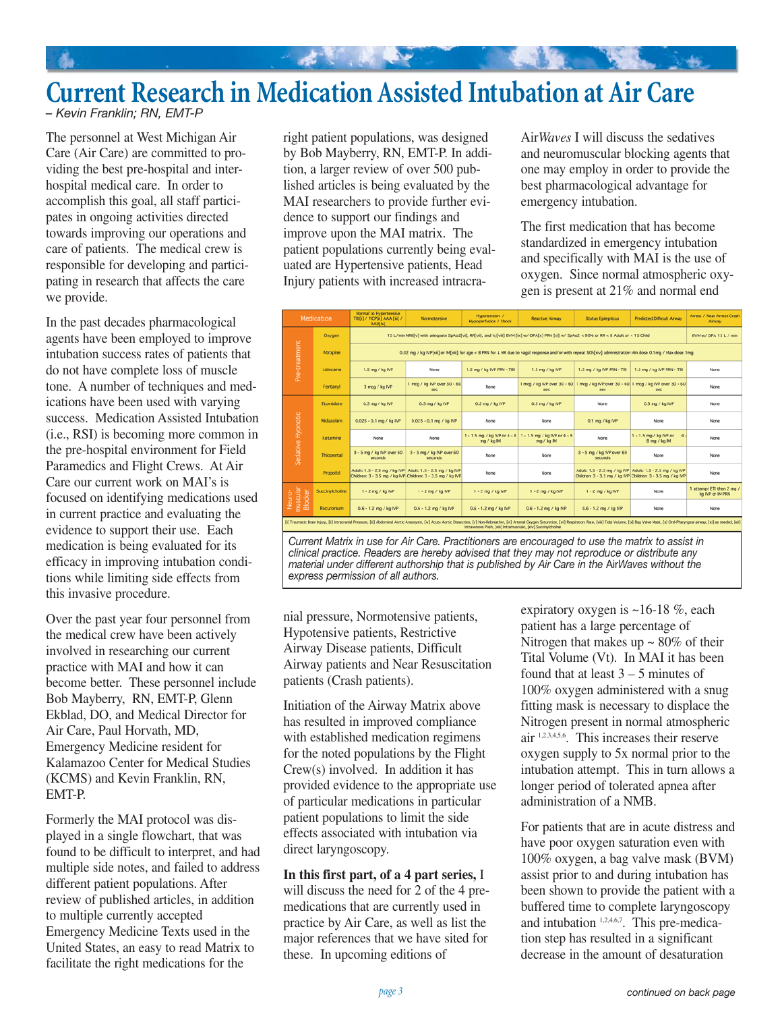

*– Kevin Franklin; RN, EMT-P*

The personnel at West Michigan Air Care (Air Care) are committed to providing the best pre-hospital and interhospital medical care. In order to accomplish this goal, all staff participates in ongoing activities directed towards improving our operations and care of patients. The medical crew is responsible for developing and participating in research that affects the care we provide.

In the past decades pharmacological agents have been employed to improve intubation success rates of patients that do not have complete loss of muscle tone. A number of techniques and medications have been used with varying success. Medication Assisted Intubation (i.e., RSI) is becoming more common in the pre-hospital environment for Field Paramedics and Flight Crews. At Air Care our current work on MAI's is focused on identifying medications used in current practice and evaluating the evidence to support their use. Each medication is being evaluated for its efficacy in improving intubation conditions while limiting side effects from this invasive procedure.

Over the past year four personnel from the medical crew have been actively involved in researching our current practice with MAI and how it can become better. These personnel include Bob Mayberry, RN, EMT-P, Glenn Ekblad, DO, and Medical Director for Air Care, Paul Horvath, MD, Emergency Medicine resident for Kalamazoo Center for Medical Studies (KCMS) and Kevin Franklin, RN, EMT-P.

Formerly the MAI protocol was displayed in a single flowchart, that was found to be difficult to interpret, and had multiple side notes, and failed to address different patient populations. After review of published articles, in addition to multiple currently accepted Emergency Medicine Texts used in the United States, an easy to read Matrix to facilitate the right medications for the

right patient populations, was designed by Bob Mayberry, RN, EMT-P. In addition, a larger review of over 500 published articles is being evaluated by the MAI researchers to provide further evidence to support our findings and improve upon the MAI matrix. The patient populations currently being evaluated are Hypertensive patients, Head Injury patients with increased intracraAir*Waves* I will discuss the sedatives and neuromuscular blocking agents that one may employ in order to provide the best pharmacological advantage for emergency intubation.

The first medication that has become standardized in emergency intubation and specifically with MAI is the use of oxygen. Since normal atmospheric oxygen is present at 21% and normal end



*Current Matrix in use for Air Care. Practitioners are encouraged to use the matrix to assist in clinical practice. Readers are hereby advised that they may not reproduce or distribute any material under different authorship that is published by Air Care in the* Air*Waves without the express permission of all authors.* 

nial pressure, Normotensive patients, Hypotensive patients, Restrictive Airway Disease patients, Difficult Airway patients and Near Resuscitation patients (Crash patients).

Initiation of the Airway Matrix above has resulted in improved compliance with established medication regimens for the noted populations by the Flight Crew(s) involved. In addition it has provided evidence to the appropriate use of particular medications in particular patient populations to limit the side effects associated with intubation via direct laryngoscopy.

**In this first part, of a 4 part series,** I will discuss the need for 2 of the 4 premedications that are currently used in practice by Air Care, as well as list the major references that we have sited for these. In upcoming editions of

expiratory oxygen is ~16-18 %, each patient has a large percentage of Nitrogen that makes up  $\sim 80\%$  of their Tital Volume (Vt). In MAI it has been found that at least  $3 - 5$  minutes of 100% oxygen administered with a snug fitting mask is necessary to displace the Nitrogen present in normal atmospheric air 1,2,3,4,5,6. This increases their reserve oxygen supply to 5x normal prior to the intubation attempt. This in turn allows a longer period of tolerated apnea after administration of a NMB.

For patients that are in acute distress and have poor oxygen saturation even with 100% oxygen, a bag valve mask (BVM) assist prior to and during intubation has been shown to provide the patient with a buffered time to complete laryngoscopy and intubation 1,2,4,6,7. This pre-medication step has resulted in a significant decrease in the amount of desaturation